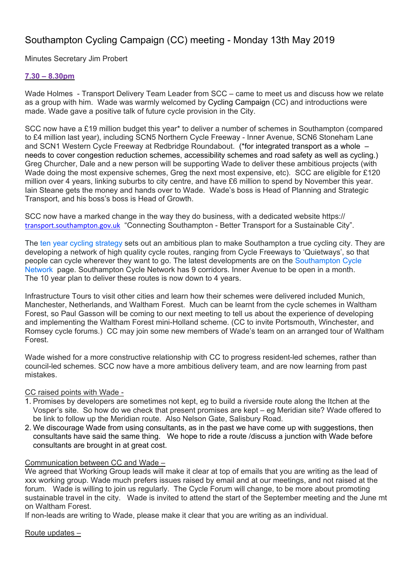# Southampton Cycling Campaign (CC) meeting - Monday 13th May 2019

Minutes Secretary Jim Probert

### **7.30 – 8.30pm**

Wade Holmes - Transport Delivery Team Leader from SCC – came to meet us and discuss how we relate as a group with him. Wade was warmly welcomed by Cycling Campaign (CC) and introductions were made. Wade gave a positive talk of future cycle provision in the City.

SCC now have a £19 million budget this year\* to deliver a number of schemes in Southampton (compared to £4 million last year), including SCN5 Northern Cycle Freeway - Inner Avenue, SCN6 Stoneham Lane and SCN1 Western Cycle Freeway at Redbridge Roundabout. (\*for integrated transport as a whole – needs to cover congestion reduction schemes, accessibility schemes and road safety as well as cycling.) Greg Churcher, Dale and a new person will be supporting Wade to deliver these ambitious projects (with Wade doing the most expensive schemes, Greg the next most expensive, etc). SCC are eligible for £120 million over 4 years, linking suburbs to city centre, and have £6 million to spend by November this year. Iain Steane gets the money and hands over to Wade. Wade's boss is Head of Planning and Strategic Transport, and his boss's boss is Head of Growth.

SCC now have a marked change in the way they do business, with a dedicated website https:// transport.southampton.gov.uk "Connecting Southampton - Better Transport for a Sustainable City".

The ten year cycling strategy sets out an ambitious plan to make Southampton a true cycling city. They are developing a network of high quality cycle routes, ranging from Cycle Freeways to 'Quietways', so that people can cycle wherever they want to go. The latest developments are on the Southampton Cycle Network page. Southampton Cycle Network has 9 corridors. Inner Avenue to be open in a month. The 10 year plan to deliver these routes is now down to 4 years.

Infrastructure Tours to visit other cities and learn how their schemes were delivered included Munich, Manchester, Netherlands, and Waltham Forest. Much can be learnt from the cycle schemes in Waltham Forest, so Paul Gasson will be coming to our next meeting to tell us about the experience of developing and implementing the Waltham Forest mini-Holland scheme. (CC to invite Portsmouth, Winchester, and Romsey cycle forums.) CC may join some new members of Wade's team on an arranged tour of Waltham Forest.

Wade wished for a more constructive relationship with CC to progress resident-led schemes, rather than council-led schemes. SCC now have a more ambitious delivery team, and are now learning from past mistakes.

#### CC raised points with Wade -

- 1. Promises by developers are sometimes not kept, eg to build a riverside route along the Itchen at the Vosper's site. So how do we check that present promises are kept – eg Meridian site? Wade offered to be link to follow up the Meridian route. Also Nelson Gate, Salisbury Road.
- 2. We discourage Wade from using consultants, as in the past we have come up with suggestions, then consultants have said the same thing. We hope to ride a route /discuss a junction with Wade before consultants are brought in at great cost.

# Communication between CC and Wade –

We agreed that Working Group leads will make it clear at top of emails that you are writing as the lead of xxx working group. Wade much prefers issues raised by email and at our meetings, and not raised at the forum. Wade is willing to join us regularly. The Cycle Forum will change, to be more about promoting sustainable travel in the city. Wade is invited to attend the start of the September meeting and the June mt on Waltham Forest.

If non-leads are writing to Wade, please make it clear that you are writing as an individual.

Route updates –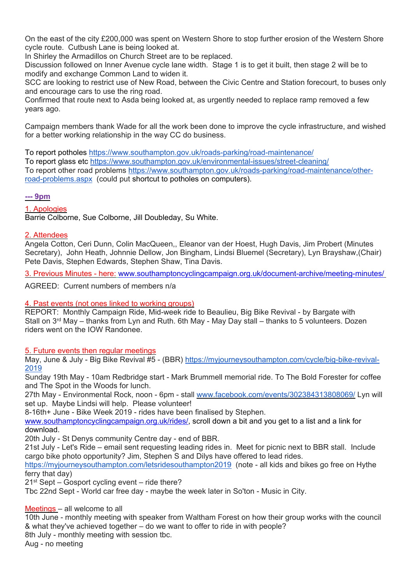On the east of the city £200,000 was spent on Western Shore to stop further erosion of the Western Shore cycle route. Cutbush Lane is being looked at.

In Shirley the Armadillos on Church Street are to be replaced.

Discussion followed on Inner Avenue cycle lane width. Stage 1 is to get it built, then stage 2 will be to modify and exchange Common Land to widen it.

SCC are looking to restrict use of New Road, between the Civic Centre and Station forecourt, to buses only and encourage cars to use the ring road.

Confirmed that route next to Asda being looked at, as urgently needed to replace ramp removed a few years ago.

Campaign members thank Wade for all the work been done to improve the cycle infrastructure, and wished for a better working relationship in the way CC do business.

To report potholes https://www.southampton.gov.uk/roads-parking/road-maintenance/ To report glass etc https://www.southampton.gov.uk/environmental-issues/street-cleaning/ To report other road problems https://www.southampton.gov.uk/roads-parking/road-maintenance/otherroad-problems.aspx (could put shortcut to potholes on computers).

#### **--- 9pm**

1. Apologies

Barrie Colborne, Sue Colborne, Jill Doubleday, Su White.

#### 2. Attendees

Angela Cotton, Ceri Dunn, Colin MacQueen,, Eleanor van der Hoest, Hugh Davis, Jim Probert (Minutes Secretary), John Heath, Johnnie Dellow, Jon Bingham, Lindsi Bluemel (Secretary), Lyn Brayshaw,(Chair) Pete Davis, Stephen Edwards, Stephen Shaw, Tina Davis.

3. Previous Minutes - here: www.southamptoncyclingcampaign.org.uk/document-archive/meeting-minutes/

AGREED: Current numbers of members n/a

#### 4. Past events (not ones linked to working groups)

REPORT: Monthly Campaign Ride, Mid-week ride to Beaulieu, Big Bike Revival - by Bargate with Stall on  $3^{rd}$  May – thanks from Lyn and Ruth. 6th May - May Day stall – thanks to 5 volunteers. Dozen riders went on the IOW Randonee.

5. Future events then regular meetings

May, June & July - Big Bike Revival #5 - (BBR) https://myjourneysouthampton.com/cycle/big-bike-revival-2019

Sunday 19th May - 10am Redbridge start - Mark Brummell memorial ride. To The Bold Forester for coffee and The Spot in the Woods for lunch.

27th May - Environmental Rock, noon - 6pm - stall www.facebook.com/events/302384313808069/ Lyn will set up. Maybe Lindsi will help. Please volunteer!

8-16th+ June - Bike Week 2019 - rides have been finalised by Stephen.

www.southamptoncyclingcampaign.org.uk/rides/, scroll down a bit and you get to a list and a link for download.

20th July - St Denys community Centre day - end of BBR.

21st July - Let's Ride – email sent requesting leading rides in. Meet for picnic next to BBR stall. Include cargo bike photo opportunity? Jim, Stephen S and Dilys have offered to lead rides.

https://myjourneysouthampton.com/letsridesouthampton2019 (note - all kids and bikes go free on Hythe ferry that day)

21st Sept – Gosport cycling event – ride there?

Tbc 22nd Sept - World car free day - maybe the week later in So'ton - Music in City.

Meetings – all welcome to all

10th June - monthly meeting with speaker from Waltham Forest on how their group works with the council & what they've achieved together – do we want to offer to ride in with people? 8th July - monthly meeting with session tbc. Aug - no meeting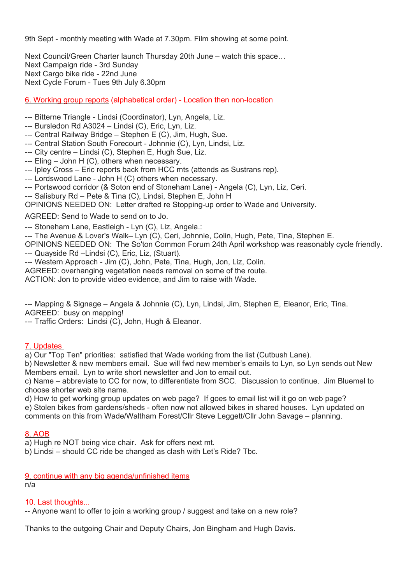9th Sept - monthly meeting with Wade at 7.30pm. Film showing at some point.

Next Council/Green Charter launch Thursday 20th June – watch this space… Next Campaign ride - 3rd Sunday Next Cargo bike ride - 22nd June Next Cycle Forum - Tues 9th July 6.30pm

6. Working group reports (alphabetical order) - Location then non-location

--- Bitterne Triangle - Lindsi (Coordinator), Lyn, Angela, Liz.

- --- Bursledon Rd A3024 Lindsi (C), Eric, Lyn, Liz.
- --- Central Railway Bridge Stephen E (C), Jim, Hugh, Sue.
- --- Central Station South Forecourt Johnnie (C), Lyn, Lindsi, Liz.
- --- City centre Lindsi (C), Stephen E, Hugh Sue, Liz.
- --- Eling John H (C), others when necessary.
- --- Ipley Cross Eric reports back from HCC mts (attends as Sustrans rep).
- --- Lordswood Lane John H (C) others when necessary.
- --- Portswood corridor (& Soton end of Stoneham Lane) Angela (C), Lyn, Liz, Ceri.
- --- Salisbury Rd Pete & Tina (C), Lindsi, Stephen E, John H

OPINIONS NEEDED ON: Letter drafted re Stopping-up order to Wade and University.

AGREED: Send to Wade to send on to Jo.

--- Stoneham Lane, Eastleigh - Lyn (C), Liz, Angela.:

--- The Avenue & Lover's Walk– Lyn (C), Ceri, Johnnie, Colin, Hugh, Pete, Tina, Stephen E.

OPINIONS NEEDED ON: The So'ton Common Forum 24th April workshop was reasonably cycle friendly. --- Quayside Rd –Lindsi (C), Eric, Liz, (Stuart).

--- Western Approach - Jim (C), John, Pete, Tina, Hugh, Jon, Liz, Colin.

AGREED: overhanging vegetation needs removal on some of the route.

ACTION: Jon to provide video evidence, and Jim to raise with Wade.

--- Mapping & Signage – Angela & Johnnie (C), Lyn, Lindsi, Jim, Stephen E, Eleanor, Eric, Tina. AGREED: busy on mapping!

--- Traffic Orders: Lindsi (C), John, Hugh & Eleanor.

## 7. Updates

a) Our "Top Ten" priorities: satisfied that Wade working from the list (Cutbush Lane).

b) Newsletter & new members email. Sue will fwd new member's emails to Lyn, so Lyn sends out New Members email. Lyn to write short newsletter and Jon to email out.

c) Name – abbreviate to CC for now, to differentiate from SCC. Discussion to continue. Jim Bluemel to choose shorter web site name.

d) How to get working group updates on web page? If goes to email list will it go on web page? e) Stolen bikes from gardens/sheds - often now not allowed bikes in shared houses. Lyn updated on comments on this from Wade/Waltham Forest/Cllr Steve Leggett/Cllr John Savage – planning.

#### 8. AOB

a) Hugh re NOT being vice chair. Ask for offers next mt.

b) Lindsi – should CC ride be changed as clash with Let's Ride? Tbc.

9. continue with any big agenda/unfinished items n/a

#### 10. Last thoughts...

-- Anyone want to offer to join a working group / suggest and take on a new role?

Thanks to the outgoing Chair and Deputy Chairs, Jon Bingham and Hugh Davis.